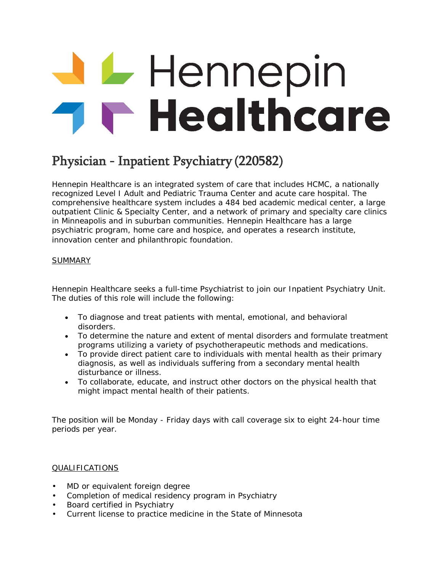## **Hennepin**<br>THealthcare

## Physician - Inpatient Psychiatry (220582)

Hennepin Healthcare is an integrated system of care that includes HCMC, a nationally recognized Level I Adult and Pediatric Trauma Center and acute care hospital. The comprehensive healthcare system includes a 484 bed academic medical center, a large outpatient Clinic & Specialty Center, and a network of primary and specialty care clinics in Minneapolis and in suburban communities. Hennepin Healthcare has a large psychiatric program, home care and hospice, and operates a research institute, innovation center and philanthropic foundation.

## SUMMARY

Hennepin Healthcare seeks a full-time Psychiatrist to join our Inpatient Psychiatry Unit. The duties of this role will include the following:

- To diagnose and treat patients with mental, emotional, and behavioral disorders.
- To determine the nature and extent of mental disorders and formulate treatment programs utilizing a variety of psychotherapeutic methods and medications.
- To provide direct patient care to individuals with mental health as their primary diagnosis, as well as individuals suffering from a secondary mental health disturbance or illness.
- To collaborate, educate, and instruct other doctors on the physical health that might impact mental health of their patients.

The position will be Monday - Friday days with call coverage six to eight 24-hour time periods per year.

## QUALIFICATIONS

- MD or equivalent foreign degree
- Completion of medical residency program in Psychiatry
- Board certified in Psychiatry
- Current license to practice medicine in the State of Minnesota